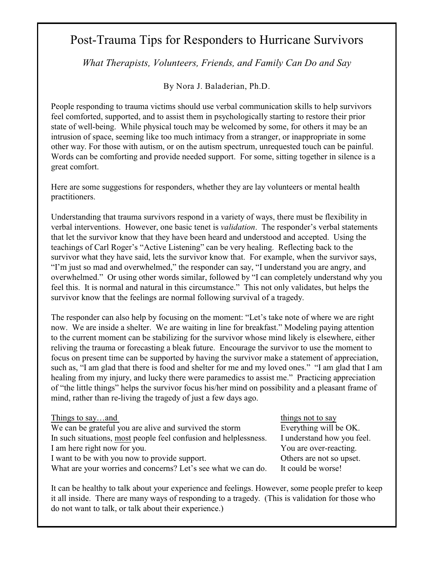## Post-Trauma Tips for Responders to Hurricane Survivors

*What Therapists, Volunteers, Friends, and Family Can Do and Say*

By Nora J. Baladerian, Ph.D.

People responding to trauma victims should use verbal communication skills to help survivors feel comforted, supported, and to assist them in psychologically starting to restore their prior state of well-being. While physical touch may be welcomed by some, for others it may be an intrusion of space, seeming like too much intimacy from a stranger, or inappropriate in some other way. For those with autism, or on the autism spectrum, unrequested touch can be painful. Words can be comforting and provide needed support. For some, sitting together in silence is a great comfort.

Here are some suggestions for responders, whether they are lay volunteers or mental health practitioners.

Understanding that trauma survivors respond in a variety of ways, there must be flexibility in verbal interventions. However, one basic tenet is *validation*. The responder's verbal statements that let the survivor know that they have been heard and understood and accepted. Using the teachings of Carl Roger's "Active Listening" can be very healing. Reflecting back to the survivor what they have said, lets the survivor know that. For example, when the survivor says, "I'm just so mad and overwhelmed," the responder can say, "I understand you are angry, and overwhelmed." Or using other words similar, followed by "I can completely understand why you feel this. It is normal and natural in this circumstance." This not only validates, but helps the survivor know that the feelings are normal following survival of a tragedy.

The responder can also help by focusing on the moment: "Let's take note of where we are right now. We are inside a shelter. We are waiting in line for breakfast." Modeling paying attention to the current moment can be stabilizing for the survivor whose mind likely is elsewhere, either reliving the trauma or forecasting a bleak future. Encourage the survivor to use the moment to focus on present time can be supported by having the survivor make a statement of appreciation, such as, "I am glad that there is food and shelter for me and my loved ones." "I am glad that I am healing from my injury, and lucky there were paramedics to assist me." Practicing appreciation of "the little things" helps the survivor focus his/her mind on possibility and a pleasant frame of mind, rather than re-living the tragedy of just a few days ago.

| Things to sayand                                                 | things not to say          |
|------------------------------------------------------------------|----------------------------|
| We can be grateful you are alive and survived the storm          | Everything will be OK.     |
| In such situations, most people feel confusion and helplessness. | I understand how you feel. |
| I am here right now for you.                                     | You are over-reacting.     |
| I want to be with you now to provide support.                    | Others are not so upset.   |
| What are your worries and concerns? Let's see what we can do.    | It could be worse!         |

It can be healthy to talk about your experience and feelings. However, some people prefer to keep it all inside. There are many ways of responding to a tragedy. (This is validation for those who do not want to talk, or talk about their experience.)